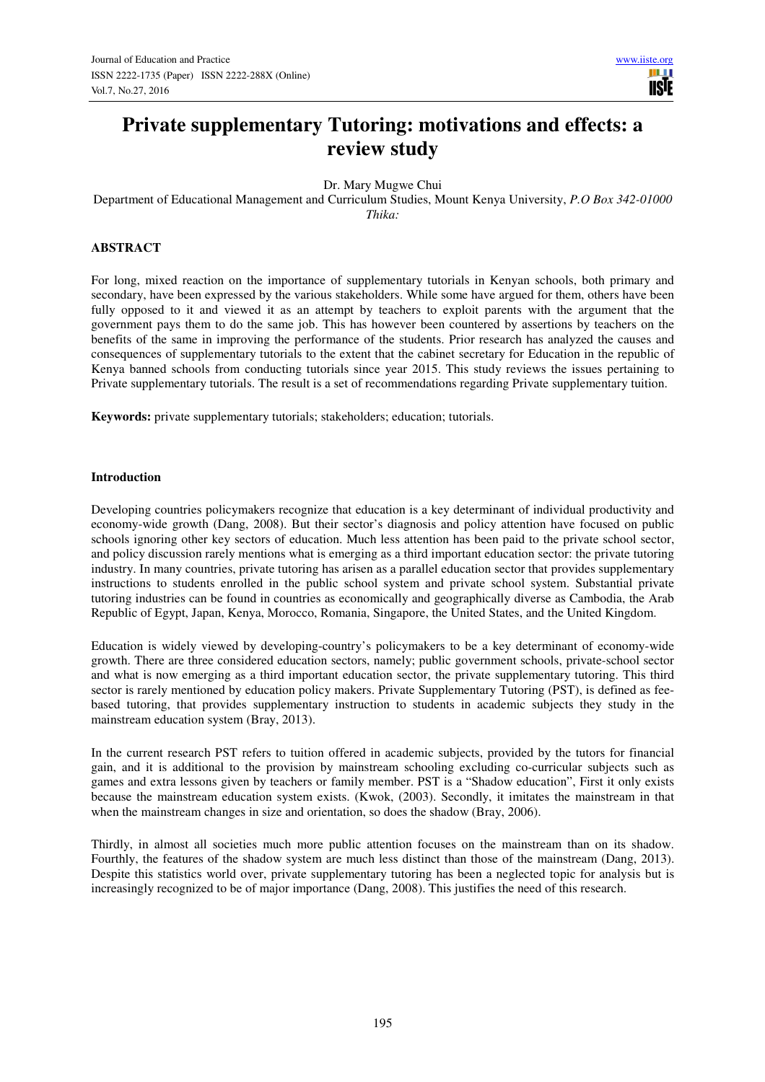# **Private supplementary Tutoring: motivations and effects: a review study**

Dr. Mary Mugwe Chui

Department of Educational Management and Curriculum Studies, Mount Kenya University, *P.O Box 342-01000 Thika:* 

# **ABSTRACT**

For long, mixed reaction on the importance of supplementary tutorials in Kenyan schools, both primary and secondary, have been expressed by the various stakeholders. While some have argued for them, others have been fully opposed to it and viewed it as an attempt by teachers to exploit parents with the argument that the government pays them to do the same job. This has however been countered by assertions by teachers on the benefits of the same in improving the performance of the students. Prior research has analyzed the causes and consequences of supplementary tutorials to the extent that the cabinet secretary for Education in the republic of Kenya banned schools from conducting tutorials since year 2015. This study reviews the issues pertaining to Private supplementary tutorials. The result is a set of recommendations regarding Private supplementary tuition.

**Keywords:** private supplementary tutorials; stakeholders; education; tutorials.

# **Introduction**

Developing countries policymakers recognize that education is a key determinant of individual productivity and economy-wide growth (Dang, 2008). But their sector's diagnosis and policy attention have focused on public schools ignoring other key sectors of education. Much less attention has been paid to the private school sector, and policy discussion rarely mentions what is emerging as a third important education sector: the private tutoring industry. In many countries, private tutoring has arisen as a parallel education sector that provides supplementary instructions to students enrolled in the public school system and private school system. Substantial private tutoring industries can be found in countries as economically and geographically diverse as Cambodia, the Arab Republic of Egypt, Japan, Kenya, Morocco, Romania, Singapore, the United States, and the United Kingdom.

Education is widely viewed by developing-country's policymakers to be a key determinant of economy-wide growth. There are three considered education sectors, namely; public government schools, private-school sector and what is now emerging as a third important education sector, the private supplementary tutoring. This third sector is rarely mentioned by education policy makers. Private Supplementary Tutoring (PST), is defined as feebased tutoring, that provides supplementary instruction to students in academic subjects they study in the mainstream education system (Bray, 2013).

In the current research PST refers to tuition offered in academic subjects, provided by the tutors for financial gain, and it is additional to the provision by mainstream schooling excluding co-curricular subjects such as games and extra lessons given by teachers or family member. PST is a "Shadow education", First it only exists because the mainstream education system exists. (Kwok, (2003). Secondly, it imitates the mainstream in that when the mainstream changes in size and orientation, so does the shadow (Bray, 2006).

Thirdly, in almost all societies much more public attention focuses on the mainstream than on its shadow. Fourthly, the features of the shadow system are much less distinct than those of the mainstream (Dang, 2013). Despite this statistics world over, private supplementary tutoring has been a neglected topic for analysis but is increasingly recognized to be of major importance (Dang, 2008). This justifies the need of this research.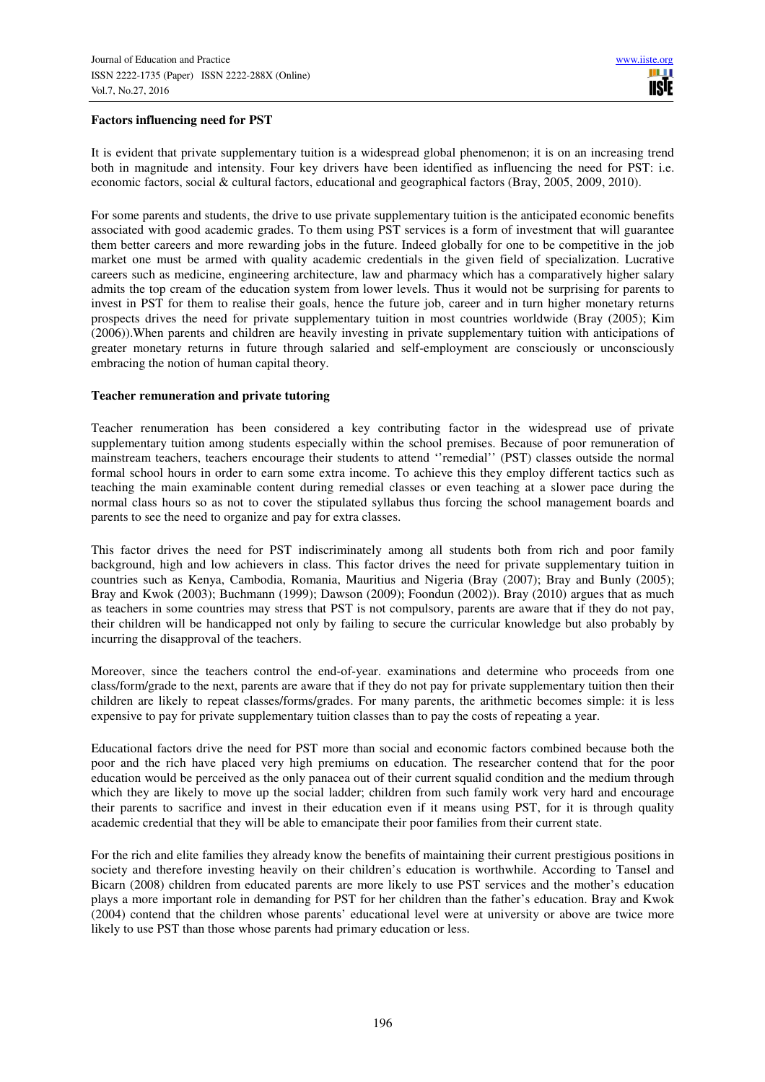# **Factors influencing need for PST**

It is evident that private supplementary tuition is a widespread global phenomenon; it is on an increasing trend both in magnitude and intensity. Four key drivers have been identified as influencing the need for PST: i.e. economic factors, social & cultural factors, educational and geographical factors (Bray, 2005, 2009, 2010).

For some parents and students, the drive to use private supplementary tuition is the anticipated economic benefits associated with good academic grades. To them using PST services is a form of investment that will guarantee them better careers and more rewarding jobs in the future. Indeed globally for one to be competitive in the job market one must be armed with quality academic credentials in the given field of specialization. Lucrative careers such as medicine, engineering architecture, law and pharmacy which has a comparatively higher salary admits the top cream of the education system from lower levels. Thus it would not be surprising for parents to invest in PST for them to realise their goals, hence the future job, career and in turn higher monetary returns prospects drives the need for private supplementary tuition in most countries worldwide (Bray (2005); Kim (2006)).When parents and children are heavily investing in private supplementary tuition with anticipations of greater monetary returns in future through salaried and self-employment are consciously or unconsciously embracing the notion of human capital theory.

# **Teacher remuneration and private tutoring**

Teacher renumeration has been considered a key contributing factor in the widespread use of private supplementary tuition among students especially within the school premises. Because of poor remuneration of mainstream teachers, teachers encourage their students to attend ''remedial'' (PST) classes outside the normal formal school hours in order to earn some extra income. To achieve this they employ different tactics such as teaching the main examinable content during remedial classes or even teaching at a slower pace during the normal class hours so as not to cover the stipulated syllabus thus forcing the school management boards and parents to see the need to organize and pay for extra classes.

This factor drives the need for PST indiscriminately among all students both from rich and poor family background, high and low achievers in class. This factor drives the need for private supplementary tuition in countries such as Kenya, Cambodia, Romania, Mauritius and Nigeria (Bray (2007); Bray and Bunly (2005); Bray and Kwok (2003); Buchmann (1999); Dawson (2009); Foondun (2002)). Bray (2010) argues that as much as teachers in some countries may stress that PST is not compulsory, parents are aware that if they do not pay, their children will be handicapped not only by failing to secure the curricular knowledge but also probably by incurring the disapproval of the teachers.

Moreover, since the teachers control the end-of-year. examinations and determine who proceeds from one class/form/grade to the next, parents are aware that if they do not pay for private supplementary tuition then their children are likely to repeat classes/forms/grades. For many parents, the arithmetic becomes simple: it is less expensive to pay for private supplementary tuition classes than to pay the costs of repeating a year.

Educational factors drive the need for PST more than social and economic factors combined because both the poor and the rich have placed very high premiums on education. The researcher contend that for the poor education would be perceived as the only panacea out of their current squalid condition and the medium through which they are likely to move up the social ladder; children from such family work very hard and encourage their parents to sacrifice and invest in their education even if it means using PST, for it is through quality academic credential that they will be able to emancipate their poor families from their current state.

For the rich and elite families they already know the benefits of maintaining their current prestigious positions in society and therefore investing heavily on their children's education is worthwhile. According to Tansel and Bicarn (2008) children from educated parents are more likely to use PST services and the mother's education plays a more important role in demanding for PST for her children than the father's education. Bray and Kwok (2004) contend that the children whose parents' educational level were at university or above are twice more likely to use PST than those whose parents had primary education or less.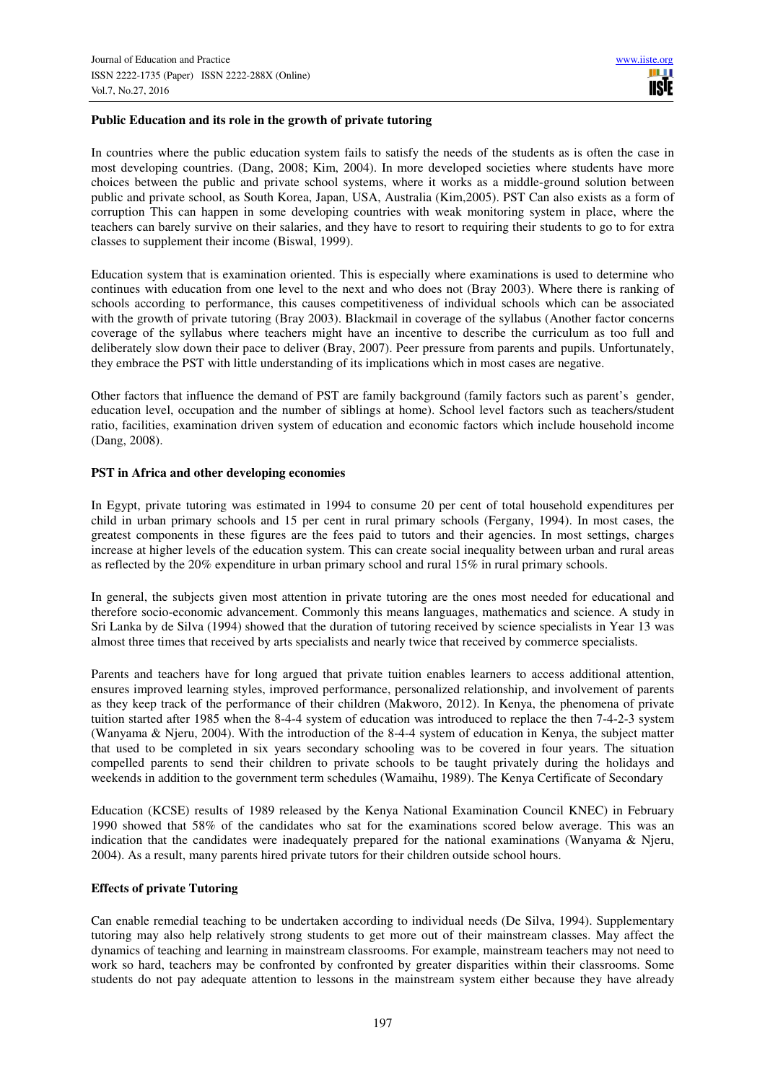# **Public Education and its role in the growth of private tutoring**

In countries where the public education system fails to satisfy the needs of the students as is often the case in most developing countries. (Dang, 2008; Kim, 2004). In more developed societies where students have more choices between the public and private school systems, where it works as a middle-ground solution between public and private school, as South Korea, Japan, USA, Australia (Kim,2005). PST Can also exists as a form of corruption This can happen in some developing countries with weak monitoring system in place, where the teachers can barely survive on their salaries, and they have to resort to requiring their students to go to for extra classes to supplement their income (Biswal, 1999).

Education system that is examination oriented. This is especially where examinations is used to determine who continues with education from one level to the next and who does not (Bray 2003). Where there is ranking of schools according to performance, this causes competitiveness of individual schools which can be associated with the growth of private tutoring (Bray 2003). Blackmail in coverage of the syllabus (Another factor concerns coverage of the syllabus where teachers might have an incentive to describe the curriculum as too full and deliberately slow down their pace to deliver (Bray, 2007). Peer pressure from parents and pupils. Unfortunately, they embrace the PST with little understanding of its implications which in most cases are negative.

Other factors that influence the demand of PST are family background (family factors such as parent's gender, education level, occupation and the number of siblings at home). School level factors such as teachers/student ratio, facilities, examination driven system of education and economic factors which include household income (Dang, 2008).

# **PST in Africa and other developing economies**

In Egypt, private tutoring was estimated in 1994 to consume 20 per cent of total household expenditures per child in urban primary schools and 15 per cent in rural primary schools (Fergany, 1994). In most cases, the greatest components in these figures are the fees paid to tutors and their agencies. In most settings, charges increase at higher levels of the education system. This can create social inequality between urban and rural areas as reflected by the 20% expenditure in urban primary school and rural 15% in rural primary schools.

In general, the subjects given most attention in private tutoring are the ones most needed for educational and therefore socio-economic advancement. Commonly this means languages, mathematics and science. A study in Sri Lanka by de Silva (1994) showed that the duration of tutoring received by science specialists in Year 13 was almost three times that received by arts specialists and nearly twice that received by commerce specialists.

Parents and teachers have for long argued that private tuition enables learners to access additional attention, ensures improved learning styles, improved performance, personalized relationship, and involvement of parents as they keep track of the performance of their children (Makworo, 2012). In Kenya, the phenomena of private tuition started after 1985 when the 8-4-4 system of education was introduced to replace the then 7-4-2-3 system (Wanyama & Njeru, 2004). With the introduction of the 8-4-4 system of education in Kenya, the subject matter that used to be completed in six years secondary schooling was to be covered in four years. The situation compelled parents to send their children to private schools to be taught privately during the holidays and weekends in addition to the government term schedules (Wamaihu, 1989). The Kenya Certificate of Secondary

Education (KCSE) results of 1989 released by the Kenya National Examination Council KNEC) in February 1990 showed that 58% of the candidates who sat for the examinations scored below average. This was an indication that the candidates were inadequately prepared for the national examinations (Wanyama & Njeru, 2004). As a result, many parents hired private tutors for their children outside school hours.

# **Effects of private Tutoring**

Can enable remedial teaching to be undertaken according to individual needs (De Silva, 1994). Supplementary tutoring may also help relatively strong students to get more out of their mainstream classes. May affect the dynamics of teaching and learning in mainstream classrooms. For example, mainstream teachers may not need to work so hard, teachers may be confronted by confronted by greater disparities within their classrooms. Some students do not pay adequate attention to lessons in the mainstream system either because they have already